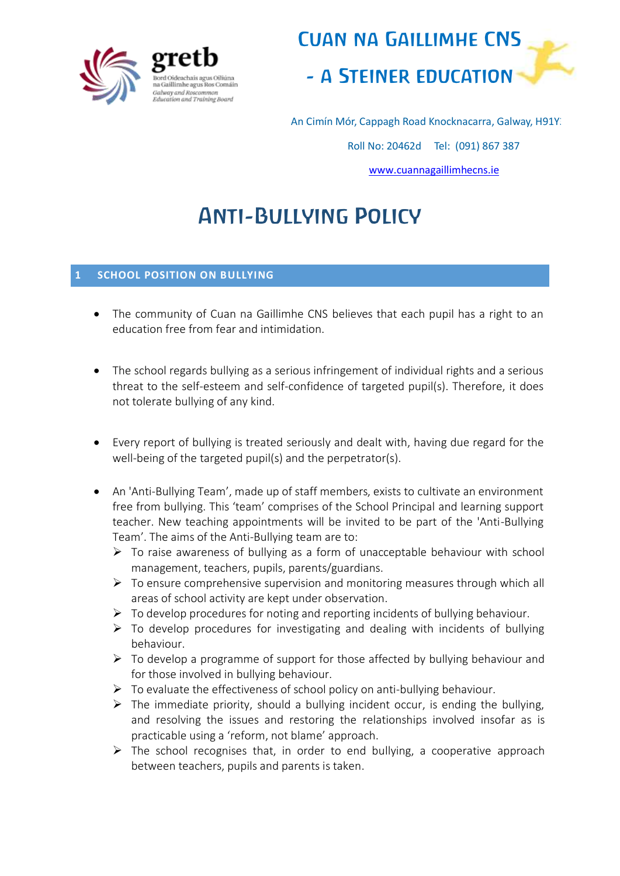



An Cimín Mór, Cappagh Road Knocknacarra, Galway, H91Y3

Roll No: 20462d Tel: (091) 867 387

[www.cuannagaillimhecns.ie](http://www.cuannagaillimhecns.ie/)

# Anti-Bullying Policy

#### **1 SCHOOL POSITION ON BULLYING**

- The community of Cuan na Gaillimhe CNS believes that each pupil has a right to an education free from fear and intimidation.
- The school regards bullying as a serious infringement of individual rights and a serious threat to the self-esteem and self-confidence of targeted pupil(s). Therefore, it does not tolerate bullying of any kind.
- Every report of bullying is treated seriously and dealt with, having due regard for the well-being of the targeted pupil(s) and the perpetrator(s).
- An 'Anti-Bullying Team', made up of staff members, exists to cultivate an environment free from bullying. This 'team' comprises of the School Principal and learning support teacher. New teaching appointments will be invited to be part of the 'Anti-Bullying Team'. The aims of the Anti-Bullying team are to:
	- $\triangleright$  To raise awareness of bullying as a form of unacceptable behaviour with school management, teachers, pupils, parents/guardians.
	- $\triangleright$  To ensure comprehensive supervision and monitoring measures through which all areas of school activity are kept under observation.
	- $\triangleright$  To develop procedures for noting and reporting incidents of bullying behaviour.
	- $\triangleright$  To develop procedures for investigating and dealing with incidents of bullying behaviour.
	- $\triangleright$  To develop a programme of support for those affected by bullying behaviour and for those involved in bullying behaviour.
	- $\triangleright$  To evaluate the effectiveness of school policy on anti-bullying behaviour.
	- $\triangleright$  The immediate priority, should a bullying incident occur, is ending the bullying, and resolving the issues and restoring the relationships involved insofar as is practicable using a 'reform, not blame' approach.
	- $\triangleright$  The school recognises that, in order to end bullying, a cooperative approach between teachers, pupils and parents is taken.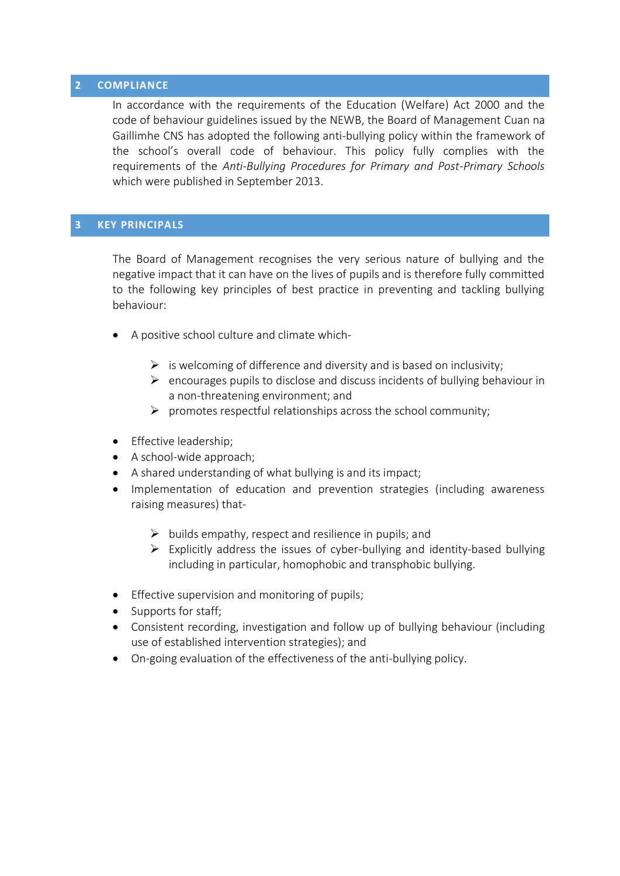#### **2 COMPLIANCE**

In accordance with the requirements of the Education (Welfare) Act 2000 and the code of behaviour guidelines issued by the NEWB, the Board of Management Cuan na Gaillimhe CNS has adopted the following anti-bullying policy within the framework of the school's overall code of behaviour. This policy fully complies with the requirements of the *Anti-Bullying Procedures for Primary and Post-Primary Schools*  which were published in September 2013.

#### **3 KEY PRINCIPALS**

The Board of Management recognises the very serious nature of bullying and the negative impact that it can have on the lives of pupils and is therefore fully committed to the following key principles of best practice in preventing and tackling bullying behaviour:

- A positive school culture and climate which-
	- $\triangleright$  is welcoming of difference and diversity and is based on inclusivity;
	- $\triangleright$  encourages pupils to disclose and discuss incidents of bullying behaviour in a non-threatening environment; and
	- $\triangleright$  promotes respectful relationships across the school community;
- Effective leadership;
- A school-wide approach;
- A shared understanding of what bullying is and its impact;
- Implementation of education and prevention strategies (including awareness raising measures) that-
	- $\triangleright$  builds empathy, respect and resilience in pupils; and
	- $\triangleright$  Explicitly address the issues of cyber-bullying and identity-based bullying including in particular, homophobic and transphobic bullying.
- **•** Effective supervision and monitoring of pupils;
- Supports for staff;
- Consistent recording, investigation and follow up of bullying behaviour (including use of established intervention strategies); and
- On-going evaluation of the effectiveness of the anti-bullying policy.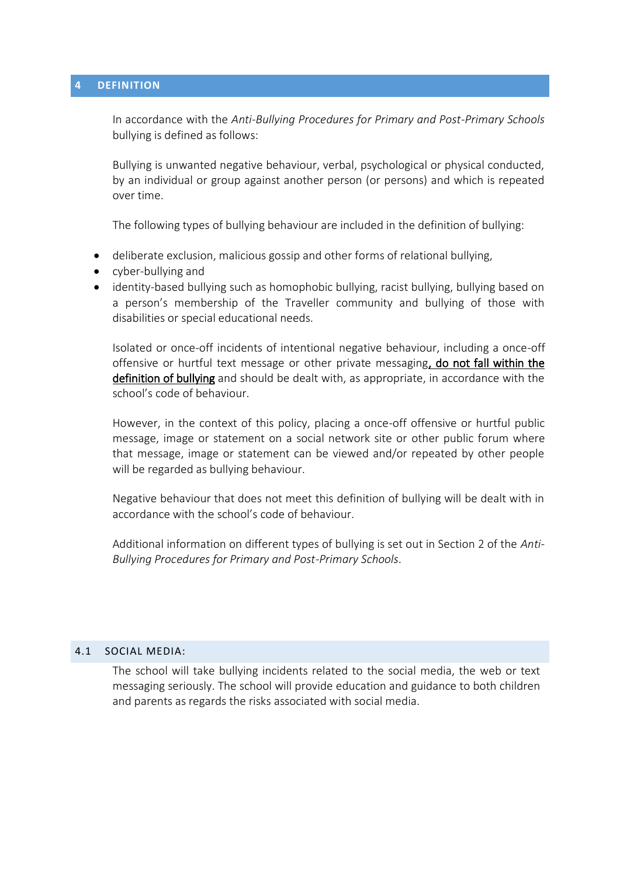#### **4 DEFINITION**

In accordance with the *Anti-Bullying Procedures for Primary and Post-Primary Schools* bullying is defined as follows:

Bullying is unwanted negative behaviour, verbal, psychological or physical conducted, by an individual or group against another person (or persons) and which is repeated over time.

The following types of bullying behaviour are included in the definition of bullying:

- deliberate exclusion, malicious gossip and other forms of relational bullying,
- cyber-bullying and
- identity-based bullying such as homophobic bullying, racist bullying, bullying based on a person's membership of the Traveller community and bullying of those with disabilities or special educational needs.

Isolated or once-off incidents of intentional negative behaviour, including a once-off offensive or hurtful text message or other private messaging, do not fall within the definition of bullying and should be dealt with, as appropriate, in accordance with the school's code of behaviour.

However, in the context of this policy, placing a once-off offensive or hurtful public message, image or statement on a social network site or other public forum where that message, image or statement can be viewed and/or repeated by other people will be regarded as bullying behaviour.

Negative behaviour that does not meet this definition of bullying will be dealt with in accordance with the school's code of behaviour.

Additional information on different types of bullying is set out in Section 2 of the *Anti-Bullying Procedures for Primary and Post-Primary Schools*.

#### 4.1 SOCIAL MEDIA:

The school will take bullying incidents related to the social media, the web or text messaging seriously. The school will provide education and guidance to both children and parents as regards the risks associated with social media.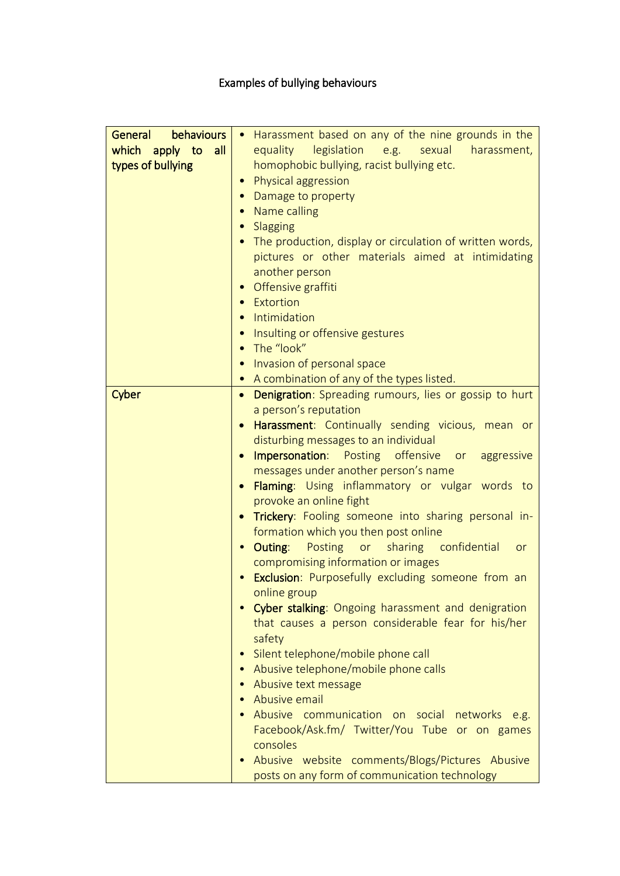# Examples of bullying behaviours

| behaviours<br>General | Harassment based on any of the nine grounds in the                         |
|-----------------------|----------------------------------------------------------------------------|
| which apply to<br>all | equality legislation e.g. sexual<br>harassment,                            |
| types of bullying     | homophobic bullying, racist bullying etc.                                  |
|                       | Physical aggression                                                        |
|                       | Damage to property                                                         |
|                       | Name calling                                                               |
|                       | Slagging                                                                   |
|                       | The production, display or circulation of written words,                   |
|                       | pictures or other materials aimed at intimidating                          |
|                       | another person                                                             |
|                       | Offensive graffiti<br>$\bullet$                                            |
|                       | Extortion                                                                  |
|                       | Intimidation                                                               |
|                       | Insulting or offensive gestures                                            |
|                       | The "look"                                                                 |
|                       |                                                                            |
|                       | Invasion of personal space                                                 |
|                       | • A combination of any of the types listed.                                |
| Cyber                 | <b>Denigration:</b> Spreading rumours, lies or gossip to hurt<br>$\bullet$ |
|                       | a person's reputation                                                      |
|                       | Harassment: Continually sending vicious, mean or                           |
|                       | disturbing messages to an individual                                       |
|                       | <b>Impersonation:</b> Posting offensive or aggressive                      |
|                       | messages under another person's name                                       |
|                       | Flaming: Using inflammatory or vulgar words to                             |
|                       | provoke an online fight                                                    |
|                       | Trickery: Fooling someone into sharing personal in-                        |
|                       | formation which you then post online                                       |
|                       | • Outing: Posting or<br>sharing confidential<br>or                         |
|                       | compromising information or images                                         |
|                       | • Exclusion: Purposefully excluding someone from an                        |
|                       | online group                                                               |
|                       | Cyber stalking: Ongoing harassment and denigration                         |
|                       | that causes a person considerable fear for his/her                         |
|                       | safety                                                                     |
|                       | Silent telephone/mobile phone call                                         |
|                       | Abusive telephone/mobile phone calls                                       |
|                       | Abusive text message                                                       |
|                       | Abusive email                                                              |
|                       | Abusive communication on social networks e.g.                              |
|                       | Facebook/Ask.fm/ Twitter/You Tube or on games                              |
|                       | consoles                                                                   |
|                       | Abusive website comments/Blogs/Pictures Abusive                            |
|                       | posts on any form of communication technology                              |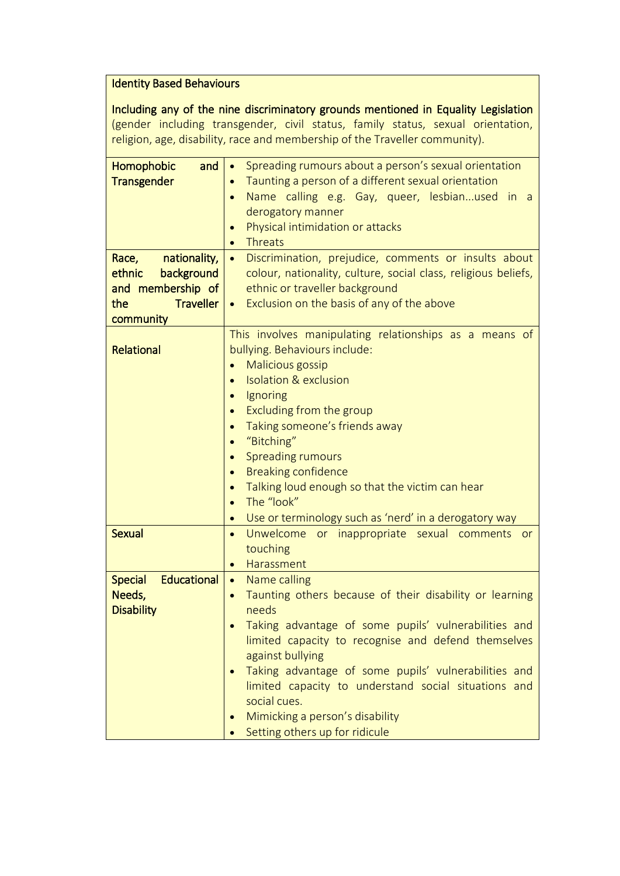#### Identity Based Behaviours

Including any of the nine discriminatory grounds mentioned in Equality Legislation (gender including transgender, civil status, family status, sexual orientation, religion, age, disability, race and membership of the Traveller community).

| Homophobic<br>and<br><b>Transgender</b><br>Race,<br>nationality,<br>background<br>ethnic<br>and membership of<br><b>Traveller</b><br>the<br>community | Spreading rumours about a person's sexual orientation<br>$\bullet$<br>Taunting a person of a different sexual orientation<br>Name calling e.g. Gay, queer, lesbianused in a<br>derogatory manner<br>Physical intimidation or attacks<br>$\bullet$<br><b>Threats</b><br>$\bullet$<br>Discrimination, prejudice, comments or insults about<br>$\bullet$<br>colour, nationality, culture, social class, religious beliefs,<br>ethnic or traveller background<br>Exclusion on the basis of any of the above         |
|-------------------------------------------------------------------------------------------------------------------------------------------------------|-----------------------------------------------------------------------------------------------------------------------------------------------------------------------------------------------------------------------------------------------------------------------------------------------------------------------------------------------------------------------------------------------------------------------------------------------------------------------------------------------------------------|
| Relational                                                                                                                                            | This involves manipulating relationships as a means of<br>bullying. Behaviours include:<br><b>Malicious gossip</b><br>$\bullet$<br><b>Isolation &amp; exclusion</b><br>Ignoring<br>$\bullet$<br>Excluding from the group<br>$\bullet$<br>Taking someone's friends away<br>"Bitching"<br>$\bullet$<br><b>Spreading rumours</b><br>$\bullet$<br><b>Breaking confidence</b><br>$\bullet$<br>Talking loud enough so that the victim can hear<br>The "look"<br>Use or terminology such as 'nerd' in a derogatory way |
| <b>Sexual</b>                                                                                                                                         | Unwelcome<br>or inappropriate sexual comments or<br>$\bullet$<br>touching<br>Harassment<br>$\bullet$                                                                                                                                                                                                                                                                                                                                                                                                            |
| <b>Educational</b><br><b>Special</b><br>Needs,<br><b>Disability</b>                                                                                   | Name calling<br>$\bullet$<br>Taunting others because of their disability or learning<br>$\bullet$<br>needs<br>Taking advantage of some pupils' vulnerabilities and<br>limited capacity to recognise and defend themselves<br>against bullying<br>Taking advantage of some pupils' vulnerabilities and<br>limited capacity to understand social situations and<br>social cues.<br>Mimicking a person's disability<br>Setting others up for ridicule                                                              |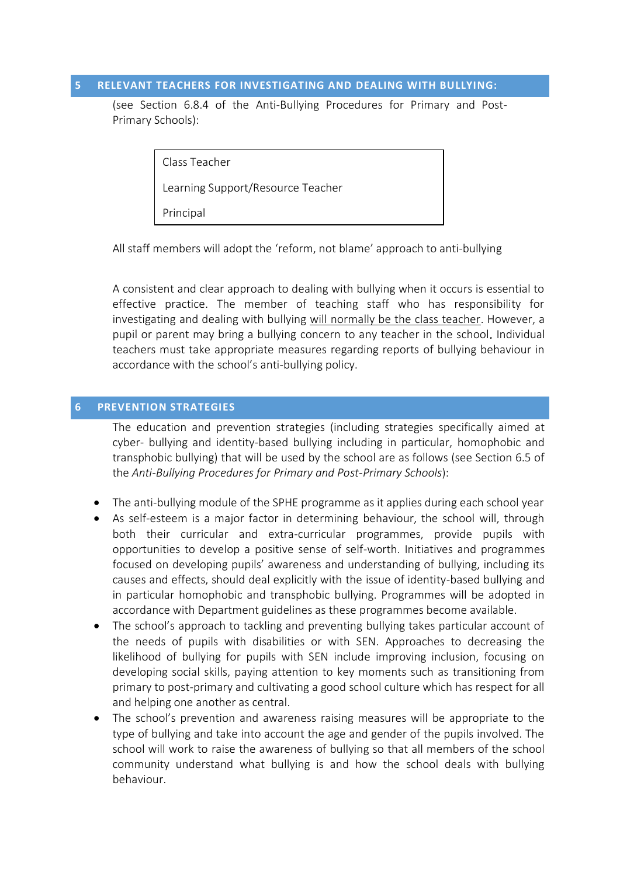#### **5 RELEVANT TEACHERS FOR INVESTIGATING AND DEALING WITH BULLYING:**

(see Section 6.8.4 of the Anti-Bullying Procedures for Primary and Post-Primary Schools):

Class Teacher

Learning Support/Resource Teacher

Principal

All staff members will adopt the 'reform, not blame' approach to anti-bullying

A consistent and clear approach to dealing with bullying when it occurs is essential to effective practice. The member of teaching staff who has responsibility for investigating and dealing with bullying will normally be the class teacher. However, a pupil or parent may bring a bullying concern to any teacher in the school. Individual teachers must take appropriate measures regarding reports of bullying behaviour in accordance with the school's anti-bullying policy.

#### **6 PREVENTION STRATEGIES**

The education and prevention strategies (including strategies specifically aimed at cyber- bullying and identity-based bullying including in particular, homophobic and transphobic bullying) that will be used by the school are as follows (see Section 6.5 of the *Anti-Bullying Procedures for Primary and Post-Primary Schools*):

- The anti-bullying module of the SPHE programme as it applies during each school year
- As self-esteem is a major factor in determining behaviour, the school will, through both their curricular and extra-curricular programmes, provide pupils with opportunities to develop a positive sense of self-worth. Initiatives and programmes focused on developing pupils' awareness and understanding of bullying, including its causes and effects, should deal explicitly with the issue of identity-based bullying and in particular homophobic and transphobic bullying. Programmes will be adopted in accordance with Department guidelines as these programmes become available.
- The school's approach to tackling and preventing bullying takes particular account of the needs of pupils with disabilities or with SEN. Approaches to decreasing the likelihood of bullying for pupils with SEN include improving inclusion, focusing on developing social skills, paying attention to key moments such as transitioning from primary to post-primary and cultivating a good school culture which has respect for all and helping one another as central.
- The school's prevention and awareness raising measures will be appropriate to the type of bullying and take into account the age and gender of the pupils involved. The school will work to raise the awareness of bullying so that all members of the school community understand what bullying is and how the school deals with bullying behaviour.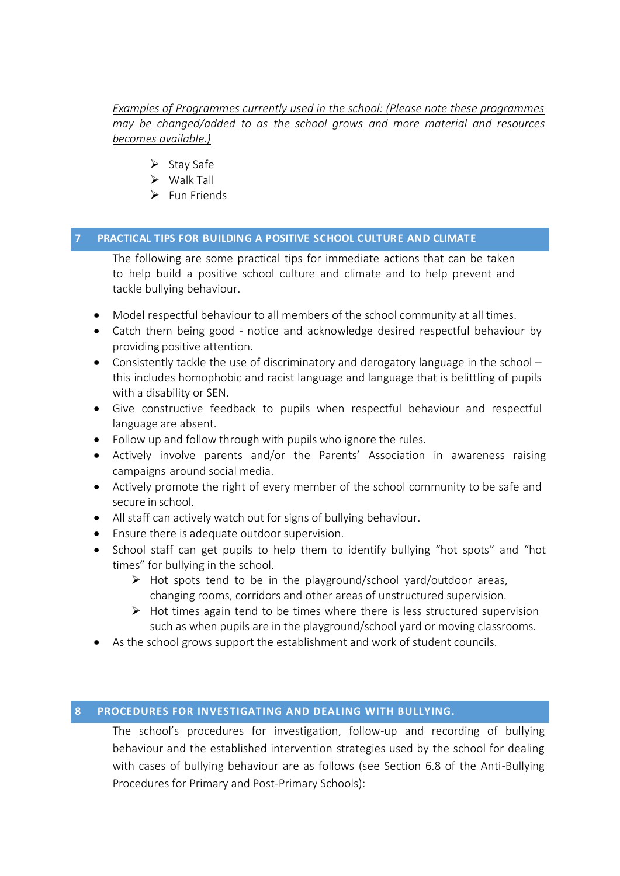*Examples of Programmes currently used in the school: (Please note these programmes may be changed/added to as the school grows and more material and resources becomes available.)*

- $\triangleright$  Stay Safe
- $\triangleright$  Walk Tall
- $\triangleright$  Fun Friends

#### **7 PRACTICAL TIPS FOR BUILDING A POSITIVE SCHOOL CULTURE AND CLIMATE**

The following are some practical tips for immediate actions that can be taken to help build a positive school culture and climate and to help prevent and tackle bullying behaviour.

- Model respectful behaviour to all members of the school community at all times.
- Catch them being good notice and acknowledge desired respectful behaviour by providing positive attention.
- Consistently tackle the use of discriminatory and derogatory language in the school this includes homophobic and racist language and language that is belittling of pupils with a disability or SEN.
- Give constructive feedback to pupils when respectful behaviour and respectful language are absent.
- Follow up and follow through with pupils who ignore the rules.
- Actively involve parents and/or the Parents' Association in awareness raising campaigns around social media.
- Actively promote the right of every member of the school community to be safe and secure in school.
- All staff can actively watch out for signs of bullying behaviour.
- Ensure there is adequate outdoor supervision.
- School staff can get pupils to help them to identify bullying "hot spots" and "hot times" for bullying in the school.
	- $\triangleright$  Hot spots tend to be in the playground/school vard/outdoor areas, changing rooms, corridors and other areas of unstructured supervision.
	- $\triangleright$  Hot times again tend to be times where there is less structured supervision such as when pupils are in the playground/school yard or moving classrooms.
- As the school grows support the establishment and work of student councils.

#### **8 PROCEDURES FOR INVESTIGATING AND DEALING WITH BULLYING.**

The school's procedures for investigation, follow-up and recording of bullying behaviour and the established intervention strategies used by the school for dealing with cases of bullying behaviour are as follows (see Section 6.8 of the Anti-Bullying Procedures for Primary and Post-Primary Schools):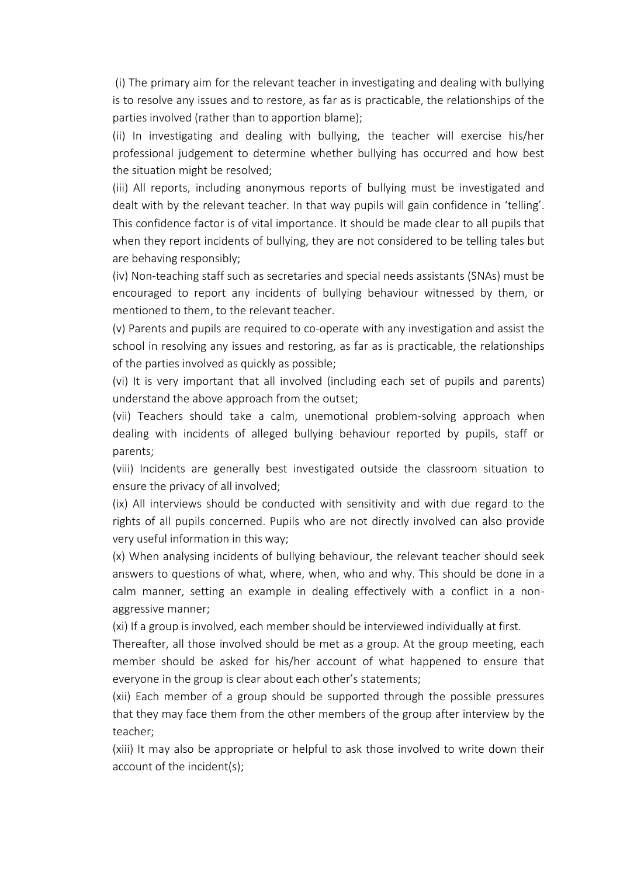(i) The primary aim for the relevant teacher in investigating and dealing with bullying is to resolve any issues and to restore, as far as is practicable, the relationships of the parties involved (rather than to apportion blame);

(ii) In investigating and dealing with bullying, the teacher will exercise his/her professional judgement to determine whether bullying has occurred and how best the situation might be resolved;

(iii) All reports, including anonymous reports of bullying must be investigated and dealt with by the relevant teacher. In that way pupils will gain confidence in 'telling'. This confidence factor is of vital importance. It should be made clear to all pupils that when they report incidents of bullying, they are not considered to be telling tales but are behaving responsibly;

(iv) Non-teaching staff such as secretaries and special needs assistants (SNAs) must be encouraged to report any incidents of bullying behaviour witnessed by them, or mentioned to them, to the relevant teacher.

(v) Parents and pupils are required to co-operate with any investigation and assist the school in resolving any issues and restoring, as far as is practicable, the relationships of the parties involved as quickly as possible;

(vi) It is very important that all involved (including each set of pupils and parents) understand the above approach from the outset;

(vii) Teachers should take a calm, unemotional problem-solving approach when dealing with incidents of alleged bullying behaviour reported by pupils, staff or parents;

(viii) Incidents are generally best investigated outside the classroom situation to ensure the privacy of all involved;

(ix) All interviews should be conducted with sensitivity and with due regard to the rights of all pupils concerned. Pupils who are not directly involved can also provide very useful information in this way;

(x) When analysing incidents of bullying behaviour, the relevant teacher should seek answers to questions of what, where, when, who and why. This should be done in a calm manner, setting an example in dealing effectively with a conflict in a nonaggressive manner;

(xi) If a group is involved, each member should be interviewed individually at first.

Thereafter, all those involved should be met as a group. At the group meeting, each member should be asked for his/her account of what happened to ensure that everyone in the group is clear about each other's statements;

(xii) Each member of a group should be supported through the possible pressures that they may face them from the other members of the group after interview by the teacher;

(xiii) It may also be appropriate or helpful to ask those involved to write down their account of the incident(s);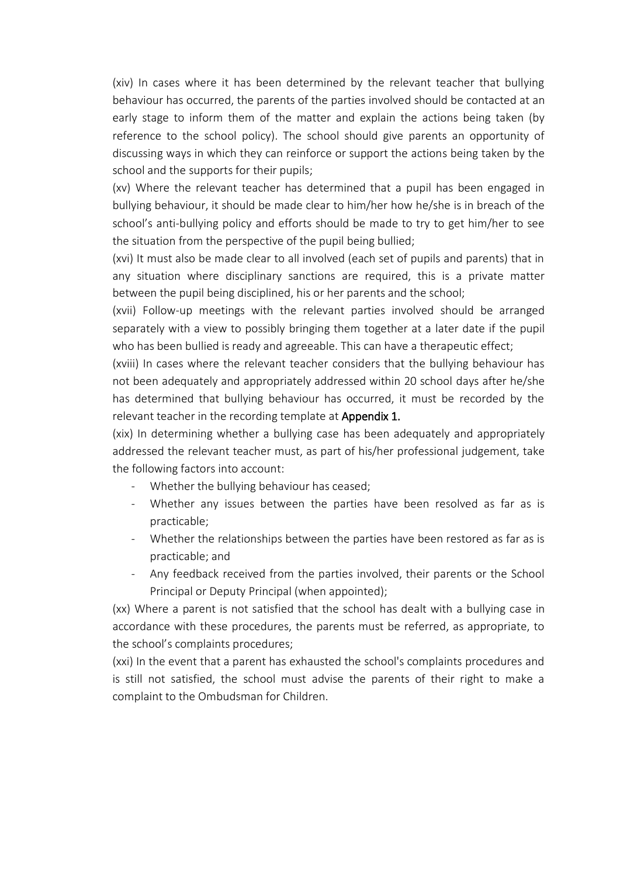(xiv) In cases where it has been determined by the relevant teacher that bullying behaviour has occurred, the parents of the parties involved should be contacted at an early stage to inform them of the matter and explain the actions being taken (by reference to the school policy). The school should give parents an opportunity of discussing ways in which they can reinforce or support the actions being taken by the school and the supports for their pupils;

(xv) Where the relevant teacher has determined that a pupil has been engaged in bullying behaviour, it should be made clear to him/her how he/she is in breach of the school's anti-bullying policy and efforts should be made to try to get him/her to see the situation from the perspective of the pupil being bullied;

(xvi) It must also be made clear to all involved (each set of pupils and parents) that in any situation where disciplinary sanctions are required, this is a private matter between the pupil being disciplined, his or her parents and the school;

(xvii) Follow-up meetings with the relevant parties involved should be arranged separately with a view to possibly bringing them together at a later date if the pupil who has been bullied is ready and agreeable. This can have a therapeutic effect;

(xviii) In cases where the relevant teacher considers that the bullying behaviour has not been adequately and appropriately addressed within 20 school days after he/she has determined that bullying behaviour has occurred, it must be recorded by the relevant teacher in the recording template at **Appendix 1.** 

(xix) In determining whether a bullying case has been adequately and appropriately addressed the relevant teacher must, as part of his/her professional judgement, take the following factors into account:

- Whether the bullying behaviour has ceased;
- Whether any issues between the parties have been resolved as far as is practicable;
- Whether the relationships between the parties have been restored as far as is practicable; and
- Any feedback received from the parties involved, their parents or the School Principal or Deputy Principal (when appointed);

(xx) Where a parent is not satisfied that the school has dealt with a bullying case in accordance with these procedures, the parents must be referred, as appropriate, to the school's complaints procedures;

(xxi) In the event that a parent has exhausted the school's complaints procedures and is still not satisfied, the school must advise the parents of their right to make a complaint to the Ombudsman for Children.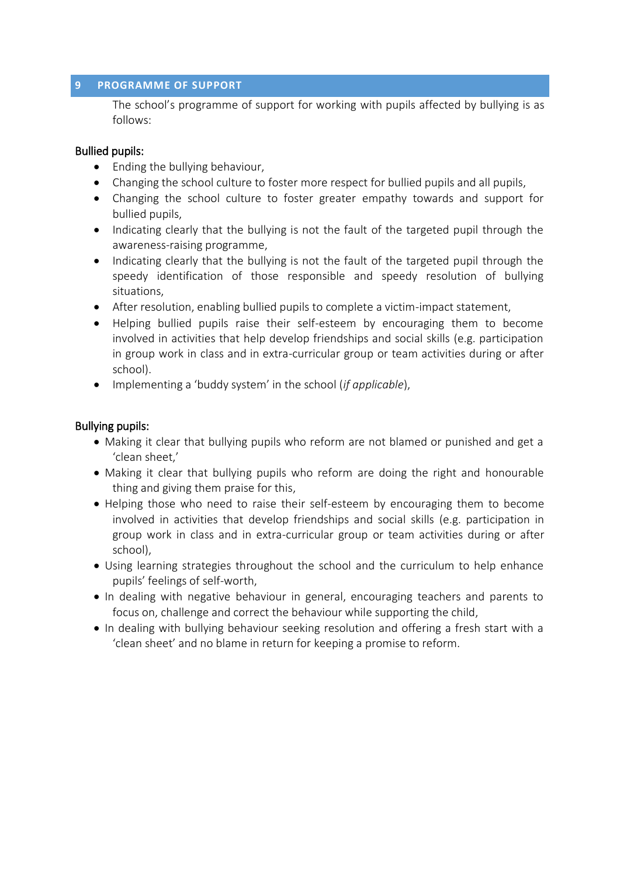#### **9 PROGRAMME OF SUPPORT**

The school's programme of support for working with pupils affected by bullying is as follows:

### Bullied pupils:

- Ending the bullying behaviour,
- Changing the school culture to foster more respect for bullied pupils and all pupils,
- Changing the school culture to foster greater empathy towards and support for bullied pupils,
- Indicating clearly that the bullying is not the fault of the targeted pupil through the awareness-raising programme,
- Indicating clearly that the bullying is not the fault of the targeted pupil through the speedy identification of those responsible and speedy resolution of bullying situations,
- After resolution, enabling bullied pupils to complete a victim-impact statement,
- Helping bullied pupils raise their self-esteem by encouraging them to become involved in activities that help develop friendships and social skills (e.g. participation in group work in class and in extra-curricular group or team activities during or after school).
- Implementing a 'buddy system' in the school (*if applicable*),

#### Bullying pupils:

- Making it clear that bullying pupils who reform are not blamed or punished and get a 'clean sheet,'
- Making it clear that bullying pupils who reform are doing the right and honourable thing and giving them praise for this,
- Helping those who need to raise their self-esteem by encouraging them to become involved in activities that develop friendships and social skills (e.g. participation in group work in class and in extra-curricular group or team activities during or after school),
- Using learning strategies throughout the school and the curriculum to help enhance pupils' feelings of self-worth,
- In dealing with negative behaviour in general, encouraging teachers and parents to focus on, challenge and correct the behaviour while supporting the child,
- In dealing with bullying behaviour seeking resolution and offering a fresh start with a 'clean sheet' and no blame in return for keeping a promise to reform.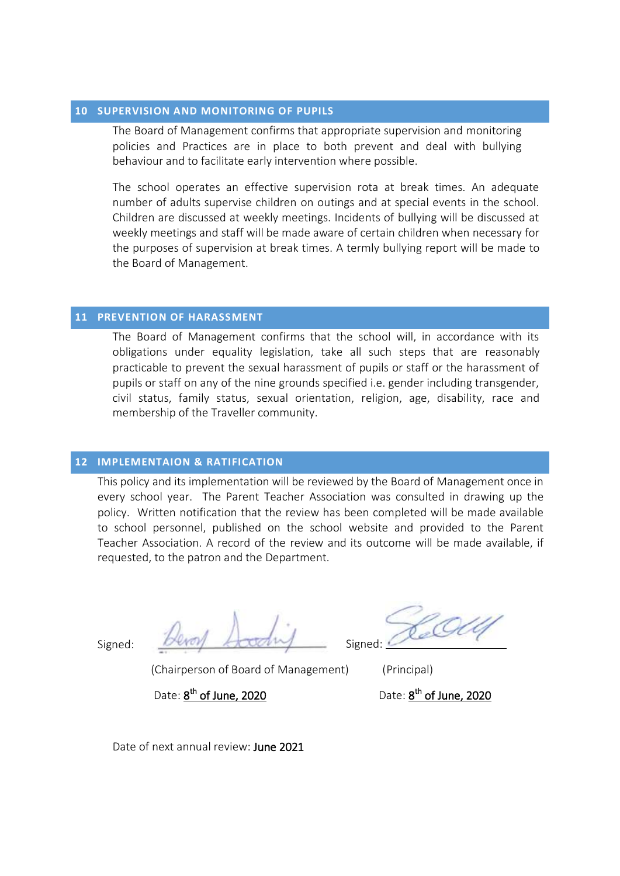#### **10 SUPERVISION AND MONITORING OF PUPILS**

The Board of Management confirms that appropriate supervision and monitoring policies and Practices are in place to both prevent and deal with bullying behaviour and to facilitate early intervention where possible.

The school operates an effective supervision rota at break times. An adequate number of adults supervise children on outings and at special events in the school. Children are discussed at weekly meetings. Incidents of bullying will be discussed at weekly meetings and staff will be made aware of certain children when necessary for the purposes of supervision at break times. A termly bullying report will be made to the Board of Management.

#### **11 PREVENTION OF HARASSMENT**

The Board of Management confirms that the school will, in accordance with its obligations under equality legislation, take all such steps that are reasonably practicable to prevent the sexual harassment of pupils or staff or the harassment of pupils or staff on any of the nine grounds specified i.e. gender including transgender, civil status, family status, sexual orientation, religion, age, disability, race and membership of the Traveller community.

#### **12 IMPLEMENTAION & RATIFICATION**

This policy and its implementation will be reviewed by the Board of Management once in every school year. The Parent Teacher Association was consulted in drawing up the policy. Written notification that the review has been completed will be made available to school personnel, published on the school website and provided to the Parent Teacher Association. A record of the review and its outcome will be made available, if requested, to the patron and the Department.

Signed: *Brevey* <del>Account</del> Signed:

(Chairperson of Board of Management) (Principal)

Date:  $\underline{8}^{\text{th}}$  of June, 2020  $\underline{0}$  Date: 8

<sup>th</sup> of June, 2020

Date of next annual review: June 2021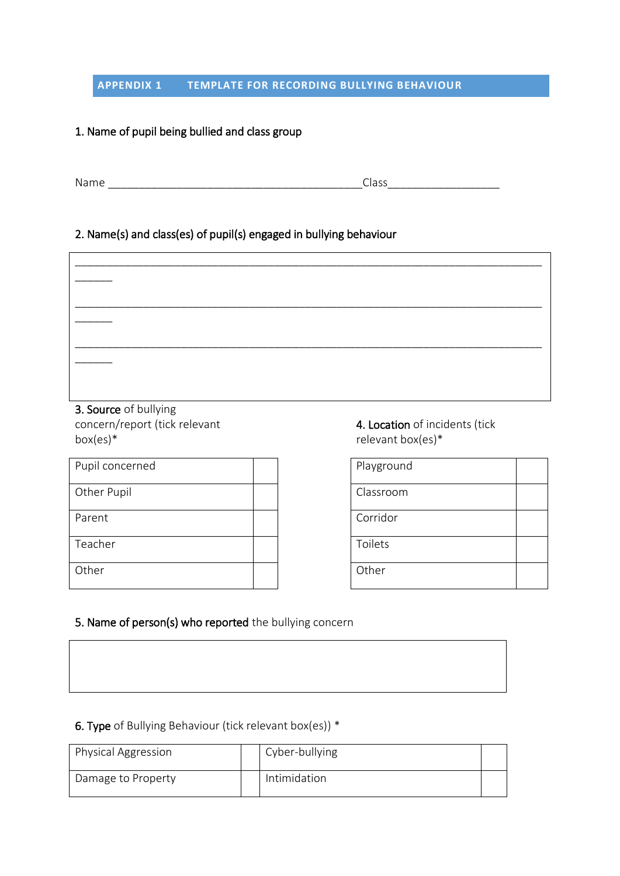#### **APPENDIX 1 TEMPLATE FOR RECORDING BULLYING BEHAVIOUR**

# 1. Name of pupil being bullied and class group

Name \_\_\_\_\_\_\_\_\_\_\_\_\_\_\_\_\_\_\_\_\_\_\_\_\_\_\_\_\_\_\_\_\_\_\_\_\_\_\_\_\_Class\_\_\_\_\_\_\_\_\_\_\_\_\_\_\_\_\_\_

#### 2. Name(s) and class(es) of pupil(s) engaged in bullying behaviour

| $\sim$ $\sim$ $\sim$ $\sim$ $\sim$ $\sim$ $\sim$ $\sim$ |  |  |  |
|---------------------------------------------------------|--|--|--|

3. Source of bullying concern/report (tick relevant box(es)\*

| Pupil concerned |  | Playground |
|-----------------|--|------------|
| Other Pupil     |  | Classroom  |
| Parent          |  | Corridor   |
| Teacher         |  | Toilets    |
| Other           |  | Other      |

4. Location of incidents (tick relevant box(es)\*

| Playground |  |
|------------|--|
| Classroom  |  |
| Corridor   |  |
| Toilets    |  |
| Other      |  |

# 5. Name of person(s) who reported the bullying concern

# 6. Type of Bullying Behaviour (tick relevant box(es)) \*

| Physical Aggression | Cyber-bullying |  |
|---------------------|----------------|--|
| Damage to Property  | Intimidation   |  |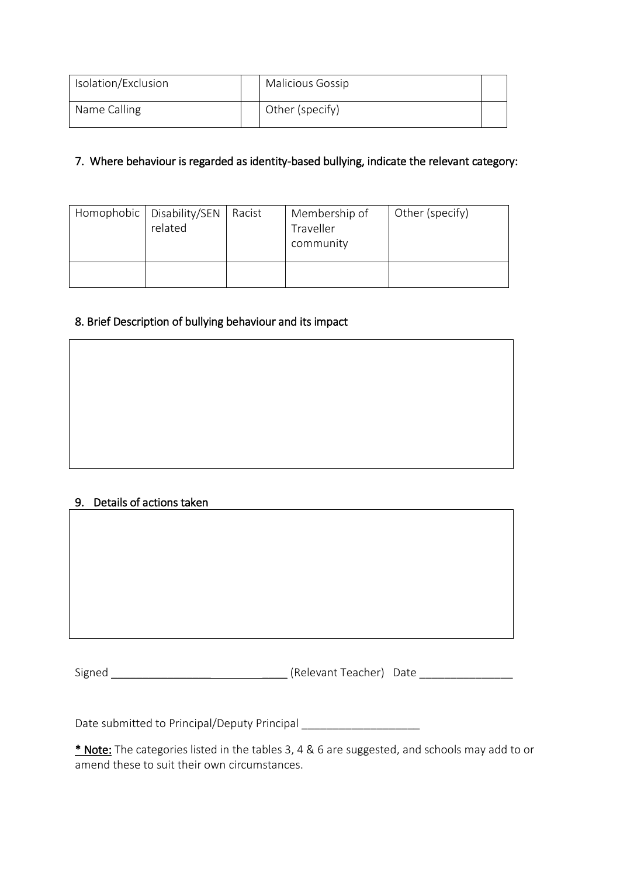| Isolation/Exclusion | <b>Malicious Gossip</b> |  |
|---------------------|-------------------------|--|
| Name Calling        | Other (specify)         |  |

# 7. Where behaviour is regarded as identity-based bullying, indicate the relevant category:

| Homophobic   Disability/SEN   Racist<br>related | Membership of<br>Traveller<br>community | Other (specify) |
|-------------------------------------------------|-----------------------------------------|-----------------|
|                                                 |                                         |                 |

# 8. Brief Description of bullying behaviour and its impact

# 9. Details of actions taken

Signed \_\_\_\_\_\_\_\_\_\_\_\_\_\_\_\_ \_\_\_\_ (Relevant Teacher) Date \_\_\_\_\_\_\_\_\_\_\_\_\_\_\_

Date submitted to Principal/Deputy Principal \_\_\_\_\_\_\_\_\_\_\_\_\_\_\_\_\_\_\_\_\_\_\_\_\_\_\_\_\_\_\_\_\_\_\_

\* Note: The categories listed in the tables 3, 4 & 6 are suggested, and schools may add to or amend these to suit their own circumstances.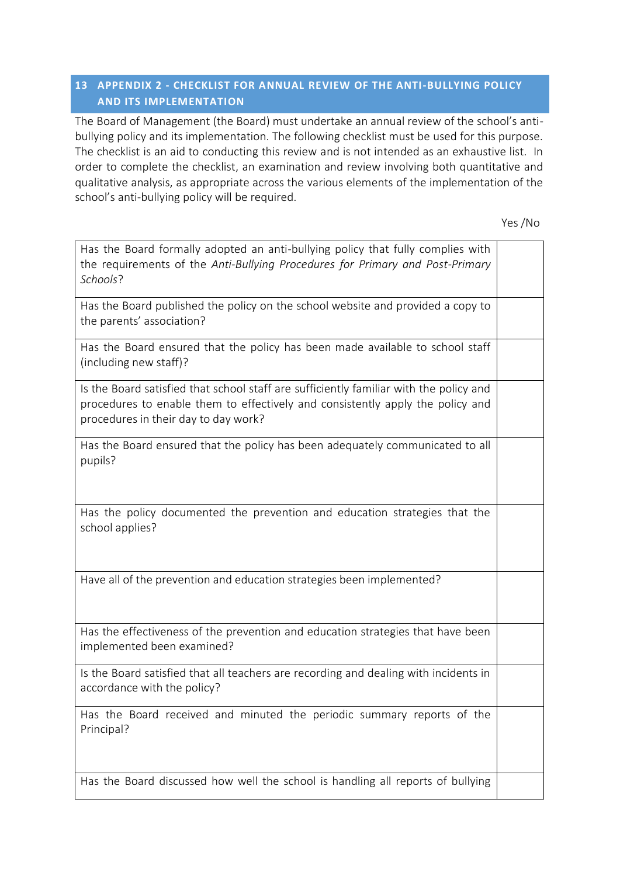# **13 APPENDIX 2 - CHECKLIST FOR ANNUAL REVIEW OF THE ANTI-BULLYING POLICY AND ITS IMPLEMENTATION**

The Board of Management (the Board) must undertake an annual review of the school's antibullying policy and its implementation. The following checklist must be used for this purpose. The checklist is an aid to conducting this review and is not intended as an exhaustive list. In order to complete the checklist, an examination and review involving both quantitative and qualitative analysis, as appropriate across the various elements of the implementation of the school's anti-bullying policy will be required.

Yes /No

| Has the Board formally adopted an anti-bullying policy that fully complies with<br>the requirements of the Anti-Bullying Procedures for Primary and Post-Primary<br>Schools?                                     |  |
|------------------------------------------------------------------------------------------------------------------------------------------------------------------------------------------------------------------|--|
| Has the Board published the policy on the school website and provided a copy to<br>the parents' association?                                                                                                     |  |
| Has the Board ensured that the policy has been made available to school staff<br>(including new staff)?                                                                                                          |  |
| Is the Board satisfied that school staff are sufficiently familiar with the policy and<br>procedures to enable them to effectively and consistently apply the policy and<br>procedures in their day to day work? |  |
| Has the Board ensured that the policy has been adequately communicated to all<br>pupils?                                                                                                                         |  |
| Has the policy documented the prevention and education strategies that the<br>school applies?                                                                                                                    |  |
| Have all of the prevention and education strategies been implemented?                                                                                                                                            |  |
| Has the effectiveness of the prevention and education strategies that have been<br>implemented been examined?                                                                                                    |  |
| Is the Board satisfied that all teachers are recording and dealing with incidents in<br>accordance with the policy?                                                                                              |  |
| Has the Board received and minuted the periodic summary reports of the<br>Principal?                                                                                                                             |  |
| Has the Board discussed how well the school is handling all reports of bullying                                                                                                                                  |  |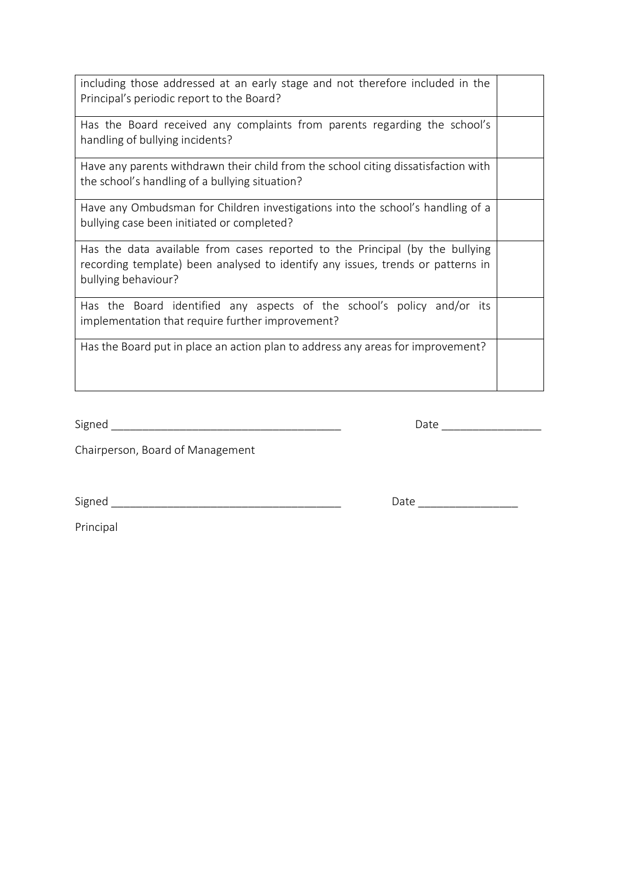| including those addressed at an early stage and not therefore included in the<br>Principal's periodic report to the Board?                                                             |  |
|----------------------------------------------------------------------------------------------------------------------------------------------------------------------------------------|--|
| Has the Board received any complaints from parents regarding the school's<br>handling of bullying incidents?                                                                           |  |
| Have any parents withdrawn their child from the school citing dissatisfaction with<br>the school's handling of a bullying situation?                                                   |  |
| Have any Ombudsman for Children investigations into the school's handling of a<br>bullying case been initiated or completed?                                                           |  |
| Has the data available from cases reported to the Principal (by the bullying<br>recording template) been analysed to identify any issues, trends or patterns in<br>bullying behaviour? |  |
| Has the Board identified any aspects of the school's policy and/or its<br>implementation that require further improvement?                                                             |  |
| Has the Board put in place an action plan to address any areas for improvement?                                                                                                        |  |

Signed \_\_\_\_\_\_\_\_\_\_\_\_\_\_\_\_\_\_\_\_\_\_\_\_\_\_\_\_\_\_\_\_\_\_\_\_\_ Date \_\_\_\_\_\_\_\_\_\_\_\_\_\_\_\_

Chairperson, Board of Management

Signed \_\_\_\_\_\_\_\_\_\_\_\_\_\_\_\_\_\_\_\_\_\_\_\_\_\_\_\_\_\_\_\_\_\_\_\_\_ Date \_\_\_\_\_\_\_\_\_\_\_\_\_\_\_\_

Principal